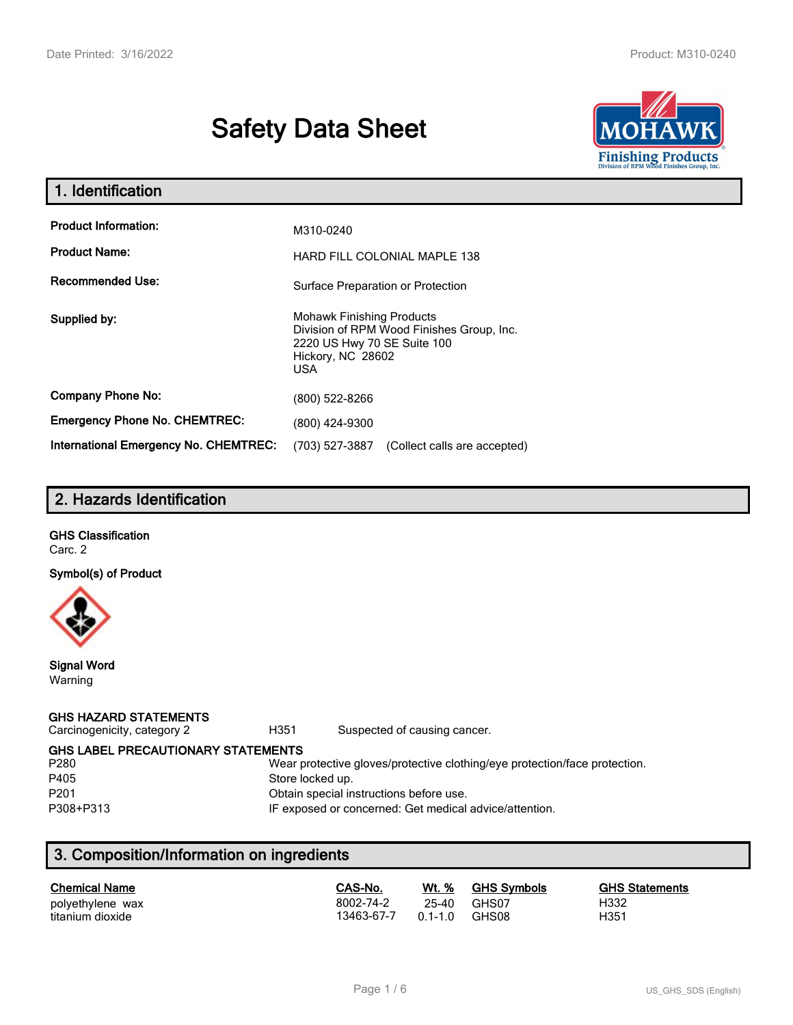# **Safety Data Sheet**



| 1. Identification                                                              |                                                                                                                                           |  |  |  |
|--------------------------------------------------------------------------------|-------------------------------------------------------------------------------------------------------------------------------------------|--|--|--|
| <b>Product Information:</b><br><b>Product Name:</b><br><b>Recommended Use:</b> | M310-0240<br>HARD FILL COLONIAL MAPLE 138                                                                                                 |  |  |  |
|                                                                                | Surface Preparation or Protection                                                                                                         |  |  |  |
| Supplied by:                                                                   | <b>Mohawk Finishing Products</b><br>Division of RPM Wood Finishes Group, Inc.<br>2220 US Hwy 70 SE Suite 100<br>Hickory, NC 28602<br>USA. |  |  |  |
| <b>Company Phone No:</b>                                                       | (800) 522-8266                                                                                                                            |  |  |  |
| <b>Emergency Phone No. CHEMTREC:</b>                                           | (800) 424-9300                                                                                                                            |  |  |  |
| <b>International Emergency No. CHEMTREC:</b>                                   | (703) 527-3887<br>(Collect calls are accepted)                                                                                            |  |  |  |

# **2. Hazards Identification**

# **GHS Classification**

Carc. 2

#### **Symbol(s) of Product**



**Signal Word** Warning

### **GHS HAZARD STATEMENTS**

Carcinogenicity, category 2 **H351** Suspected of causing cancer.

**GHS LABEL PRECAUTIONARY STATEMENTS**<br>P280 Wear p

#### Wear protective gloves/protective clothing/eye protection/face protection. P405 Store locked up.

P201 Obtain special instructions before use.

P308+P313 IF exposed or concerned: Get medical advice/attention.

# **3. Composition/Information on ingredients**

| <b>Chemical Name</b> | CAS-No.    | Wt. %       | <b>GHS Symbols</b> | <b>GHS Statements</b> |
|----------------------|------------|-------------|--------------------|-----------------------|
| polyethylene wax     | 8002-74-2  | 25-40       | GHS07              | H332                  |
| titanium dioxide     | 13463-67-7 | $0.1 - 1.0$ | GHS08              | H351                  |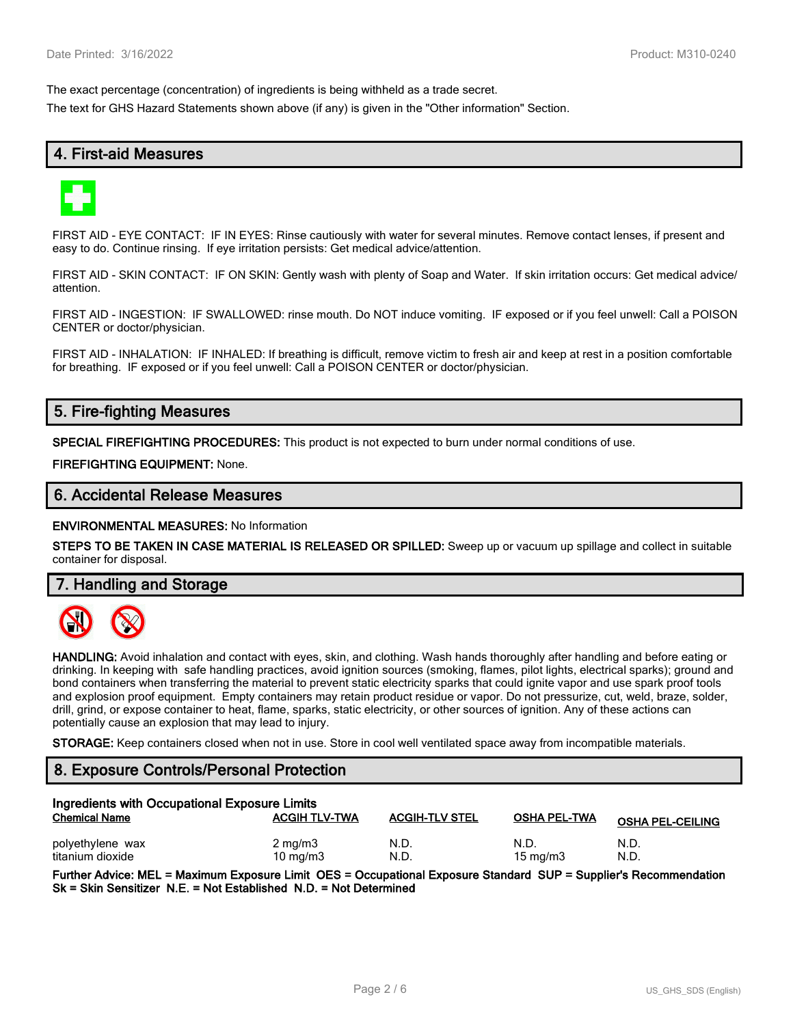The exact percentage (concentration) of ingredients is being withheld as a trade secret.

The text for GHS Hazard Statements shown above (if any) is given in the "Other information" Section.

# **4. First-aid Measures**



FIRST AID - EYE CONTACT: IF IN EYES: Rinse cautiously with water for several minutes. Remove contact lenses, if present and easy to do. Continue rinsing. If eye irritation persists: Get medical advice/attention.

FIRST AID - SKIN CONTACT: IF ON SKIN: Gently wash with plenty of Soap and Water. If skin irritation occurs: Get medical advice/ attention.

FIRST AID - INGESTION: IF SWALLOWED: rinse mouth. Do NOT induce vomiting. IF exposed or if you feel unwell: Call a POISON CENTER or doctor/physician.

FIRST AID - INHALATION: IF INHALED: If breathing is difficult, remove victim to fresh air and keep at rest in a position comfortable for breathing. IF exposed or if you feel unwell: Call a POISON CENTER or doctor/physician.

# **5. Fire-fighting Measures**

**SPECIAL FIREFIGHTING PROCEDURES:** This product is not expected to burn under normal conditions of use.

**FIREFIGHTING EQUIPMENT:** None.

### **6. Accidental Release Measures**

**ENVIRONMENTAL MEASURES:** No Information

**STEPS TO BE TAKEN IN CASE MATERIAL IS RELEASED OR SPILLED:** Sweep up or vacuum up spillage and collect in suitable container for disposal.

**7. Handling and Storage**



**HANDLING:** Avoid inhalation and contact with eyes, skin, and clothing. Wash hands thoroughly after handling and before eating or drinking. In keeping with safe handling practices, avoid ignition sources (smoking, flames, pilot lights, electrical sparks); ground and bond containers when transferring the material to prevent static electricity sparks that could ignite vapor and use spark proof tools and explosion proof equipment. Empty containers may retain product residue or vapor. Do not pressurize, cut, weld, braze, solder, drill, grind, or expose container to heat, flame, sparks, static electricity, or other sources of ignition. Any of these actions can potentially cause an explosion that may lead to injury.

**STORAGE:** Keep containers closed when not in use. Store in cool well ventilated space away from incompatible materials.

### **8. Exposure Controls/Personal Protection**

| Ingredients with Occupational Exposure Limits |                      |                       |                     |                         |  |
|-----------------------------------------------|----------------------|-----------------------|---------------------|-------------------------|--|
| <b>Chemical Name</b>                          | <b>ACGIH TLV-TWA</b> | <b>ACGIH-TLV STEL</b> | <b>OSHA PEL-TWA</b> | <b>OSHA PEL-CEILING</b> |  |
| polyethylene wax                              | $2 \text{ mg/m}$     | N.D                   | N.D.                | N.D.                    |  |
| titanium dioxide                              | $10 \text{ mg/m}$    | N.D                   | $15 \text{ mg/m}$   | N.D.                    |  |

**Further Advice: MEL = Maximum Exposure Limit OES = Occupational Exposure Standard SUP = Supplier's Recommendation Sk = Skin Sensitizer N.E. = Not Established N.D. = Not Determined**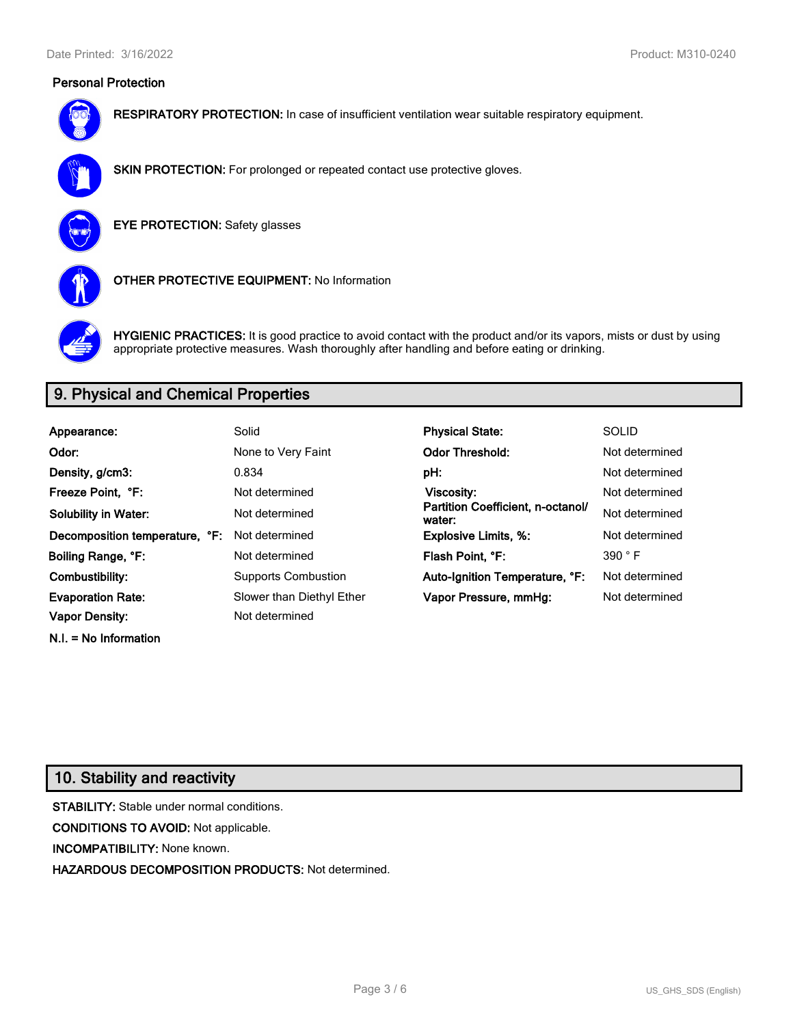### **Personal Protection**



**RESPIRATORY PROTECTION:** In case of insufficient ventilation wear suitable respiratory equipment.



**SKIN PROTECTION:** For prolonged or repeated contact use protective gloves.

**EYE PROTECTION:** Safety glasses



**OTHER PROTECTIVE EQUIPMENT:** No Information



**HYGIENIC PRACTICES:** It is good practice to avoid contact with the product and/or its vapors, mists or dust by using appropriate protective measures. Wash thoroughly after handling and before eating or drinking.

# **9. Physical and Chemical Properties**

| Appearance:                    | Solid                      | <b>Physical State:</b>                      | <b>SOLID</b>   |
|--------------------------------|----------------------------|---------------------------------------------|----------------|
|                                |                            |                                             |                |
| Odor:                          | None to Very Faint         | <b>Odor Threshold:</b>                      | Not determined |
| Density, g/cm3:                | 0.834                      | pH:                                         | Not determined |
| Freeze Point. °F:              | Not determined             | Viscosity:                                  | Not determined |
| <b>Solubility in Water:</b>    | Not determined             | Partition Coefficient, n-octanol/<br>water: | Not determined |
| Decomposition temperature, °F: | Not determined             | <b>Explosive Limits, %:</b>                 | Not determined |
| Boiling Range, °F:             | Not determined             | Flash Point, °F:                            | 390 °F         |
| Combustibility:                | <b>Supports Combustion</b> | Auto-Ignition Temperature, °F:              | Not determined |
| <b>Evaporation Rate:</b>       | Slower than Diethyl Ether  | Vapor Pressure, mmHg:                       | Not determined |
| <b>Vapor Density:</b>          | Not determined             |                                             |                |

# **10. Stability and reactivity**

**N.I. = No Information**

**STABILITY:** Stable under normal conditions. **CONDITIONS TO AVOID:** Not applicable. **INCOMPATIBILITY:** None known. **HAZARDOUS DECOMPOSITION PRODUCTS:** Not determined.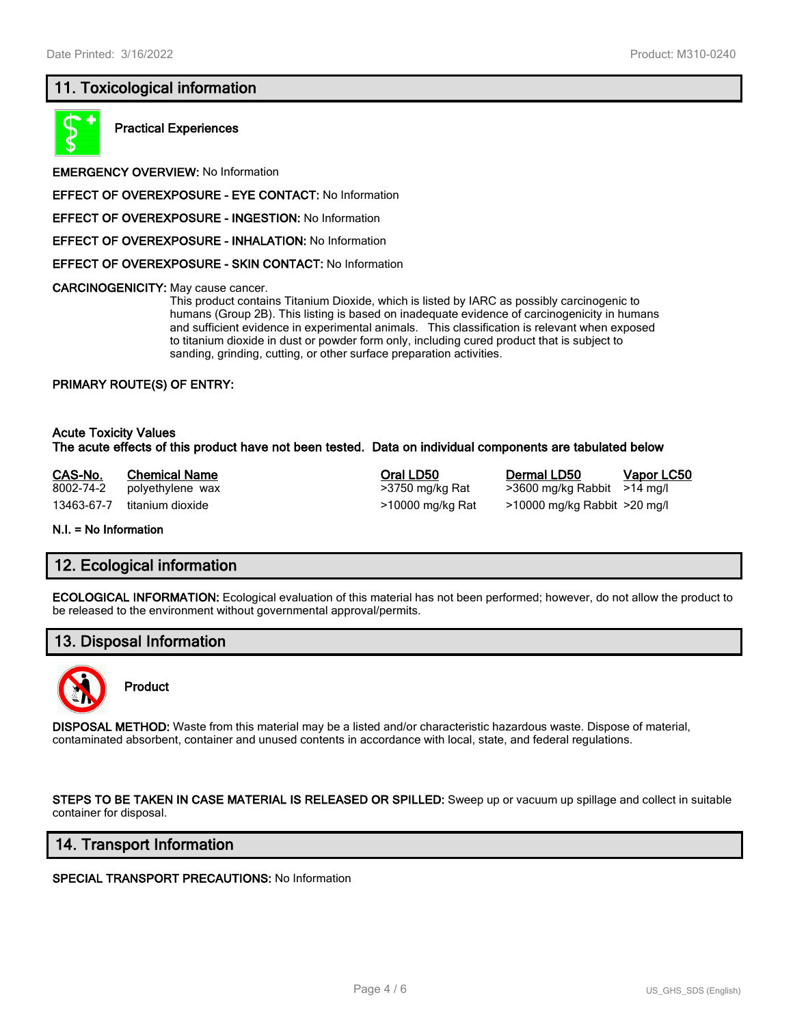# **11. Toxicological information**



**Practical Experiences**

**EMERGENCY OVERVIEW:** No Information

**EFFECT OF OVEREXPOSURE - EYE CONTACT:** No Information

**EFFECT OF OVEREXPOSURE - INGESTION:** No Information

**EFFECT OF OVEREXPOSURE - INHALATION:** No Information

**EFFECT OF OVEREXPOSURE - SKIN CONTACT:** No Information

**CARCINOGENICITY:** May cause cancer.

This product contains Titanium Dioxide, which is listed by IARC as possibly carcinogenic to humans (Group 2B). This listing is based on inadequate evidence of carcinogenicity in humans and sufficient evidence in experimental animals. This classification is relevant when exposed to titanium dioxide in dust or powder form only, including cured product that is subject to sanding, grinding, cutting, or other surface preparation activities.

#### **PRIMARY ROUTE(S) OF ENTRY:**

#### **Acute Toxicity Values The acute effects of this product have not been tested. Data on individual components are tabulated below**

**CAS-No. Chemical Name Oral LD50 Dermal LD50 Vapor LC50** 8002-74-2 polyethylene wax >3750 mg/kg Rat >3600 mg/kg Rabbit >14 mg/l 13463-67-7 titanium dioxide >10000 mg/kg Rat >10000 mg/kg Rabbit >20 mg/l

**N.I. = No Information**

### **12. Ecological information**

**ECOLOGICAL INFORMATION:** Ecological evaluation of this material has not been performed; however, do not allow the product to be released to the environment without governmental approval/permits.

# **13. Disposal Information**



**Product**

**DISPOSAL METHOD:** Waste from this material may be a listed and/or characteristic hazardous waste. Dispose of material, contaminated absorbent, container and unused contents in accordance with local, state, and federal regulations.

**STEPS TO BE TAKEN IN CASE MATERIAL IS RELEASED OR SPILLED:** Sweep up or vacuum up spillage and collect in suitable container for disposal.

### **14. Transport Information**

**SPECIAL TRANSPORT PRECAUTIONS:** No Information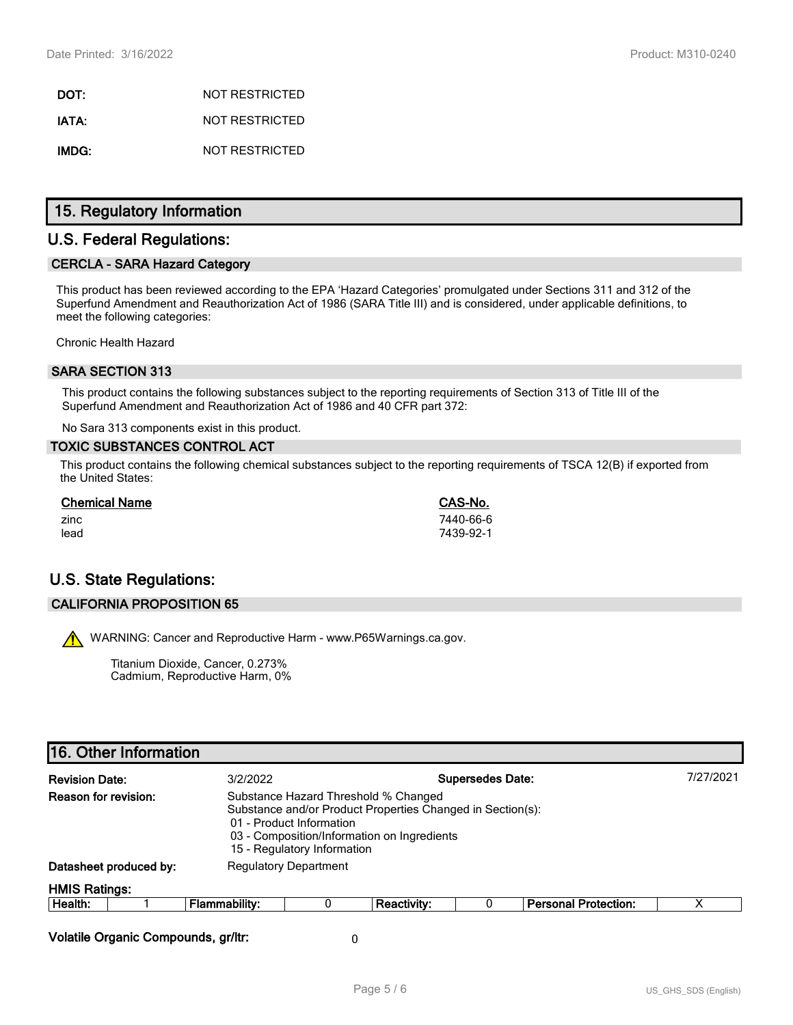**DOT:** NOT RESTRICTED **IATA:** NOT RESTRICTED **IMDG:** NOT RESTRICTED

# **15. Regulatory Information**

# **U.S. Federal Regulations:**

### **CERCLA - SARA Hazard Category**

This product has been reviewed according to the EPA 'Hazard Categories' promulgated under Sections 311 and 312 of the Superfund Amendment and Reauthorization Act of 1986 (SARA Title III) and is considered, under applicable definitions, to meet the following categories:

Chronic Health Hazard

### **SARA SECTION 313**

This product contains the following substances subject to the reporting requirements of Section 313 of Title III of the Superfund Amendment and Reauthorization Act of 1986 and 40 CFR part 372:

No Sara 313 components exist in this product.

#### **TOXIC SUBSTANCES CONTROL ACT**

This product contains the following chemical substances subject to the reporting requirements of TSCA 12(B) if exported from the United States:

| <b>Chemical Name</b> | CAS-No.   |
|----------------------|-----------|
| zinc                 | 7440-66-6 |
| lead                 | 7439-92-1 |

# **U.S. State Regulations:**

#### **CALIFORNIA PROPOSITION 65**

WARNING: Cancer and Reproductive Harm - www.P65Warnings.ca.gov.

Titanium Dioxide, Cancer, 0.273% Cadmium, Reproductive Harm, 0%

| <b>Revision Date:</b> |                                                                                                                                                                                                                                      | <b>Supersedes Date:</b><br>3/2/2022 |   |             |  | 7/27/2021                   |  |
|-----------------------|--------------------------------------------------------------------------------------------------------------------------------------------------------------------------------------------------------------------------------------|-------------------------------------|---|-------------|--|-----------------------------|--|
|                       | Reason for revision:<br>Substance Hazard Threshold % Changed<br>Substance and/or Product Properties Changed in Section(s):<br>01 - Product Information<br>03 - Composition/Information on Ingredients<br>15 - Regulatory Information |                                     |   |             |  |                             |  |
|                       | Datasheet produced by:                                                                                                                                                                                                               | <b>Regulatory Department</b>        |   |             |  |                             |  |
| <b>HMIS Ratings:</b>  |                                                                                                                                                                                                                                      |                                     |   |             |  |                             |  |
| Health:               |                                                                                                                                                                                                                                      | <b>Flammability:</b>                | 0 | Reactivity: |  | <b>Personal Protection:</b> |  |